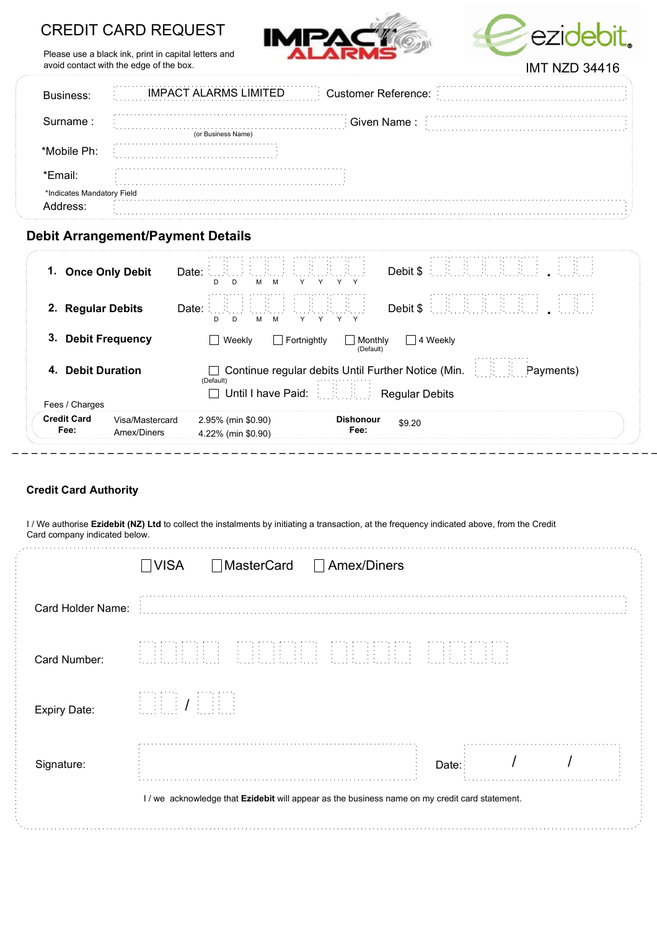# CREDIT CARD REQUEST





Please use a black ink, print in capital letters and avoid contact with the edge of the box.

|                            | IMPACT ALARMS LIMITED Customer Reference: |
|----------------------------|-------------------------------------------|
| Surname :                  | .<br>Given Name :<br>(or Business Name)   |
| *Mobile Ph∙                | <b>Sales Allen A</b><br>.                 |
| *Fmail <sup>.</sup>        |                                           |
| *Indicates Mandatory Field |                                           |

## Debit Arrangement/Payment Details

| 1. Once Only Debit                                                                          | . Paul Paul Paul Paul Paul P<br>Date:<br>Debit \$<br>м<br>D<br>D<br>M<br>Y.<br>Y                                                                    |  |  |  |  |  |
|---------------------------------------------------------------------------------------------|-----------------------------------------------------------------------------------------------------------------------------------------------------|--|--|--|--|--|
| 2. Regular Debits                                                                           | Date:<br>Debit \$<br>D.<br>D.<br>Y<br>м<br>Y.<br>M                                                                                                  |  |  |  |  |  |
| <b>Debit Frequency</b><br>3.<br>  4 Weekly<br>Weekly<br>Fortnightly<br>Monthly<br>(Default) |                                                                                                                                                     |  |  |  |  |  |
| 4. Debit Duration<br>Fees / Charges                                                         | <b>Fig. 2.</b> Payments)<br>Continue regular debits Until Further Notice (Min.<br>(Default)<br>Until I have Paid: <b>All Accords</b> Regular Debits |  |  |  |  |  |
| <b>Credit Card</b><br>Visa/Mastercard<br>Fee:<br>Amex/Diners                                | <b>Dishonour</b><br>2.95% (min \$0.90)<br>\$9.20<br>Fee:<br>4.22% (min \$0.90)                                                                      |  |  |  |  |  |

### Credit Card Authority

I / We authorise Ezidebit (NZ) Ltd to collect the instalments by initiating a transaction, at the frequency indicated above, from the Credit Card company indicated below.

|                     | $\Box$ VISA                                                                                                                                                                                                                            |                 | □ MasterCard □ Amex/Diners                                                                     |                               |   |  |  |
|---------------------|----------------------------------------------------------------------------------------------------------------------------------------------------------------------------------------------------------------------------------------|-----------------|------------------------------------------------------------------------------------------------|-------------------------------|---|--|--|
| Card Holder Name:   |                                                                                                                                                                                                                                        |                 |                                                                                                |                               |   |  |  |
| Card Number:        | $\mathcal{L}$ , and the set of the set of the set of the set of the set of the set of the set of the set of the set of the set of the set of the set of the set of the set of the set of the set of the set of the set of the set<br>. | <b>Contract</b> | $\cdots$                                                                                       | and the state of the state of | . |  |  |
| <b>Expiry Date:</b> | and the state<br>マイト・レース・トール                                                                                                                                                                                                           |                 |                                                                                                |                               |   |  |  |
| Signature:          |                                                                                                                                                                                                                                        |                 |                                                                                                | Date:                         |   |  |  |
|                     |                                                                                                                                                                                                                                        |                 | I / we acknowledge that Ezidebit will appear as the business name on my credit card statement. |                               |   |  |  |